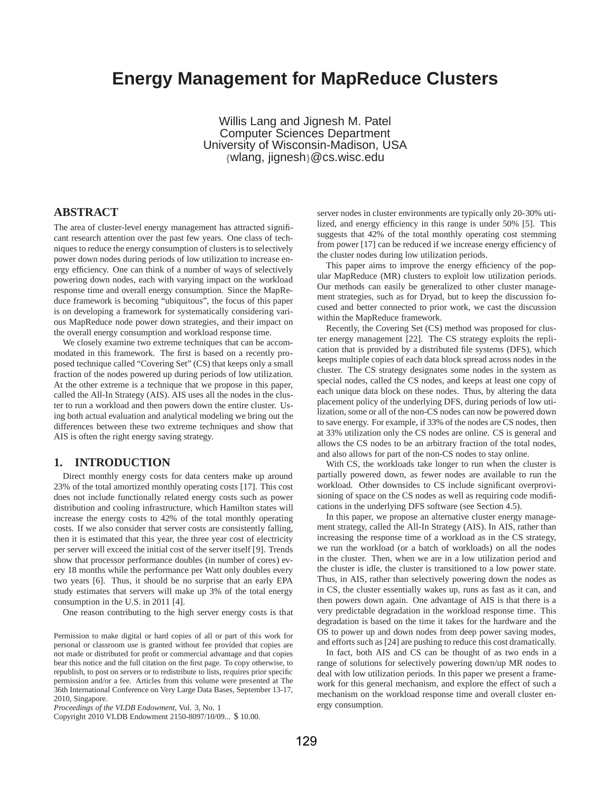# **Energy Management for MapReduce Clusters**

Willis Lang and Jignesh M. Patel Computer Sciences Department University of Wisconsin-Madison, USA {wlang, jignesh}@cs.wisc.edu

## **ABSTRACT**

The area of cluster-level energy management has attracted significant research attention over the past few years. One class of techniques to reduce the energy consumption of clusters is to selectively power down nodes during periods of low utilization to increase energy efficiency. One can think of a number of ways of selectively powering down nodes, each with varying impact on the workload response time and overall energy consumption. Since the MapReduce framework is becoming "ubiquitous", the focus of this paper is on developing a framework for systematically considering various MapReduce node power down strategies, and their impact on the overall energy consumption and workload response time.

We closely examine two extreme techniques that can be accommodated in this framework. The first is based on a recently proposed technique called "Covering Set" (CS) that keeps only a small fraction of the nodes powered up during periods of low utilization. At the other extreme is a technique that we propose in this paper, called the All-In Strategy (AIS). AIS uses all the nodes in the cluster to run a workload and then powers down the entire cluster. Using both actual evaluation and analytical modeling we bring out the differences between these two extreme techniques and show that AIS is often the right energy saving strategy.

## **1. INTRODUCTION**

Direct monthly energy costs for data centers make up around 23% of the total amortized monthly operating costs [17]. This cost does not include functionally related energy costs such as power distribution and cooling infrastructure, which Hamilton states will increase the energy costs to 42% of the total monthly operating costs. If we also consider that server costs are consistently falling, then it is estimated that this year, the three year cost of electricity per server will exceed the initial cost of the server itself [9]. Trends show that processor performance doubles (in number of cores) every 18 months while the performance per Watt only doubles every two years [6]. Thus, it should be no surprise that an early EPA study estimates that servers will make up 3% of the total energy consumption in the U.S. in 2011 [4].

One reason contributing to the high server energy costs is that

server nodes in cluster environments are typically only 20-30% utilized, and energy efficiency in this range is under 50% [5]. This suggests that 42% of the total monthly operating cost stemming from power [17] can be reduced if we increase energy efficiency of the cluster nodes during low utilization periods.

This paper aims to improve the energy efficiency of the popular MapReduce (MR) clusters to exploit low utilization periods. Our methods can easily be generalized to other cluster management strategies, such as for Dryad, but to keep the discussion focused and better connected to prior work, we cast the discussion within the MapReduce framework.

Recently, the Covering Set (CS) method was proposed for cluster energy management [22]. The CS strategy exploits the replication that is provided by a distributed file systems (DFS), which keeps multiple copies of each data block spread across nodes in the cluster. The CS strategy designates some nodes in the system as special nodes, called the CS nodes, and keeps at least one copy of each unique data block on these nodes. Thus, by altering the data placement policy of the underlying DFS, during periods of low utilization, some or all of the non-CS nodes can now be powered down to save energy. For example, if 33% of the nodes are CS nodes, then at 33% utilization only the CS nodes are online. CS is general and allows the CS nodes to be an arbitrary fraction of the total nodes, and also allows for part of the non-CS nodes to stay online.

With CS, the workloads take longer to run when the cluster is partially powered down, as fewer nodes are available to run the workload. Other downsides to CS include significant overprovisioning of space on the CS nodes as well as requiring code modifications in the underlying DFS software (see Section 4.5).

In this paper, we propose an alternative cluster energy management strategy, called the All-In Strategy (AIS). In AIS, rather than increasing the response time of a workload as in the CS strategy, we run the workload (or a batch of workloads) on all the nodes in the cluster. Then, when we are in a low utilization period and the cluster is idle, the cluster is transitioned to a low power state. Thus, in AIS, rather than selectively powering down the nodes as in CS, the cluster essentially wakes up, runs as fast as it can, and then powers down again. One advantage of AIS is that there is a very predictable degradation in the workload response time. This degradation is based on the time it takes for the hardware and the OS to power up and down nodes from deep power saving modes, and efforts such as [24] are pushing to reduce this cost dramatically.

In fact, both AIS and CS can be thought of as two ends in a range of solutions for selectively powering down/up MR nodes to deal with low utilization periods. In this paper we present a framework for this general mechanism, and explore the effect of such a mechanism on the workload response time and overall cluster energy consumption.

Permission to make digital or hard copies of all or part of this work for personal or classroom use is granted without fee provided that copies are not made or distributed for profit or commercial advantage and that copies bear this notice and the full citation on the first page. To copy otherwise, to republish, to post on servers or to redistribute to lists, requires prior specific permission and/or a fee. Articles from this volume were presented at The 36th International Conference on Very Large Data Bases, September 13-17, 2010, Singapore.

*Proceedings of the VLDB Endowment,* Vol. 3, No. 1

Copyright 2010 VLDB Endowment 2150-8097/10/09... \$ 10.00.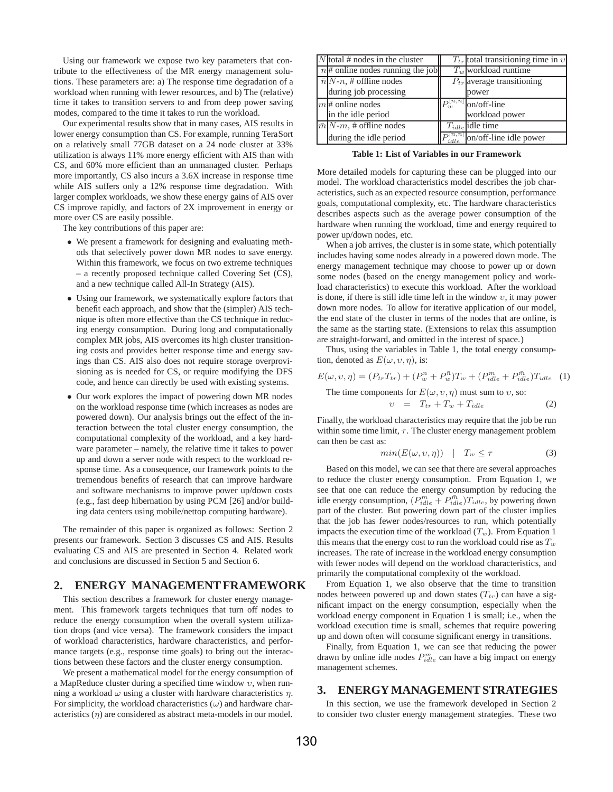Using our framework we expose two key parameters that contribute to the effectiveness of the MR energy management solutions. These parameters are: a) The response time degradation of a workload when running with fewer resources, and b) The (relative) time it takes to transition servers to and from deep power saving modes, compared to the time it takes to run the workload.

Our experimental results show that in many cases, AIS results in lower energy consumption than CS. For example, running TeraSort on a relatively small 77GB dataset on a 24 node cluster at 33% utilization is always 11% more energy efficient with AIS than with CS, and 60% more efficient than an unmanaged cluster. Perhaps more importantly, CS also incurs a 3.6X increase in response time while AIS suffers only a 12% response time degradation. With larger complex workloads, we show these energy gains of AIS over CS improve rapidly, and factors of 2X improvement in energy or more over CS are easily possible.

The key contributions of this paper are:

- We present a framework for designing and evaluating methods that selectively power down MR nodes to save energy. Within this framework, we focus on two extreme techniques – a recently proposed technique called Covering Set (CS), and a new technique called All-In Strategy (AIS).
- Using our framework, we systematically explore factors that benefit each approach, and show that the (simpler) AIS technique is often more effective than the CS technique in reducing energy consumption. During long and computationally complex MR jobs, AIS overcomes its high cluster transitioning costs and provides better response time and energy savings than CS. AIS also does not require storage overprovisioning as is needed for CS, or require modifying the DFS code, and hence can directly be used with existing systems.
- Our work explores the impact of powering down MR nodes on the workload response time (which increases as nodes are powered down). Our analysis brings out the effect of the interaction between the total cluster energy consumption, the computational complexity of the workload, and a key hardware parameter – namely, the relative time it takes to power up and down a server node with respect to the workload response time. As a consequence, our framework points to the tremendous benefits of research that can improve hardware and software mechanisms to improve power up/down costs (e.g., fast deep hibernation by using PCM [26] and/or building data centers using mobile/nettop computing hardware).

The remainder of this paper is organized as follows: Section 2 presents our framework. Section 3 discusses CS and AIS. Results evaluating CS and AIS are presented in Section 4. Related work and conclusions are discussed in Section 5 and Section 6.

## **2. ENERGY MANAGEMENT FRAMEWORK**

This section describes a framework for cluster energy management. This framework targets techniques that turn off nodes to reduce the energy consumption when the overall system utilization drops (and vice versa). The framework considers the impact of workload characteristics, hardware characteristics, and performance targets (e.g., response time goals) to bring out the interactions between these factors and the cluster energy consumption.

We present a mathematical model for the energy consumption of a MapReduce cluster during a specified time window  $v$ , when running a workload  $\omega$  using a cluster with hardware characteristics  $\eta$ . For simplicity, the workload characteristics  $(\omega)$  and hardware characteristics  $(\eta)$  are considered as abstract meta-models in our model.

| $N$ total # nodes in the cluster                        | $T_{tr}$ total transitioning time in v                       |
|---------------------------------------------------------|--------------------------------------------------------------|
| $n\#$ online nodes running the job                      | $T_w$ workload runtime                                       |
| $\bar{n}$ N-n, # offline nodes<br>during job processing | $P_{tr}$ average transitioning<br>power                      |
| $m#$ online nodes<br>in the idle period                 | $\overline{P_w^{[n,\bar{n}]}}$ on/off-line<br>workload power |
| $\bar{m}$ N-m, # offline nodes                          | $T_{idle}$ idle time                                         |
| during the idle period                                  | $P_{idle}^{[n,\bar{n}]}$ on/off-line idle power              |
|                                                         |                                                              |

**Table 1: List of Variables in our Framework**

More detailed models for capturing these can be plugged into our model. The workload characteristics model describes the job characteristics, such as an expected resource consumption, performance goals, computational complexity, etc. The hardware characteristics describes aspects such as the average power consumption of the hardware when running the workload, time and energy required to power up/down nodes, etc.

When a job arrives, the cluster is in some state, which potentially includes having some nodes already in a powered down mode. The energy management technique may choose to power up or down some nodes (based on the energy management policy and workload characteristics) to execute this workload. After the workload is done, if there is still idle time left in the window  $v$ , it may power down more nodes. To allow for iterative application of our model, the end state of the cluster in terms of the nodes that are online, is the same as the starting state. (Extensions to relax this assumption are straight-forward, and omitted in the interest of space.)

Thus, using the variables in Table 1, the total energy consumption, denoted as  $E(\omega, \nu, \eta)$ , is:

$$
E(\omega, \nu, \eta) = (P_{tr}T_{tr}) + (P_w^n + P_w^{\bar{n}})T_w + (P_{idle}^m + P_{idle}^{\bar{m}})T_{idle} \tag{1}
$$

The time components for 
$$
E(\omega, \upsilon, \eta)
$$
 must sum to  $\upsilon$ , so:

$$
v = T_{tr} + T_w + T_{idle} \tag{2}
$$

Finally, the workload characteristics may require that the job be run within some time limit,  $\tau$ . The cluster energy management problem can then be cast as:

$$
min(E(\omega, v, \eta)) \quad | \quad T_w \le \tau \tag{3}
$$

Based on this model, we can see that there are several approaches to reduce the cluster energy consumption. From Equation 1, we see that one can reduce the energy consumption by reducing the idle energy consumption,  $(P_{idle}^m + P_{idle}^{\bar{m}})T_{idle}$ , by powering down part of the cluster. But powering down part of the cluster implies that the job has fewer nodes/resources to run, which potentially impacts the execution time of the workload  $(T_w)$ . From Equation 1 this means that the energy cost to run the workload could rise as  $T_w$ increases. The rate of increase in the workload energy consumption with fewer nodes will depend on the workload characteristics, and primarily the computational complexity of the workload.

From Equation 1, we also observe that the time to transition nodes between powered up and down states  $(T_{tr})$  can have a significant impact on the energy consumption, especially when the workload energy component in Equation 1 is small; i.e., when the workload execution time is small, schemes that require powering up and down often will consume significant energy in transitions.

Finally, from Equation 1, we can see that reducing the power drawn by online idle nodes  $P_{idle}^m$  can have a big impact on energy management schemes.

#### **3. ENERGY MANAGEMENT STRATEGIES**

In this section, we use the framework developed in Section 2 to consider two cluster energy management strategies. These two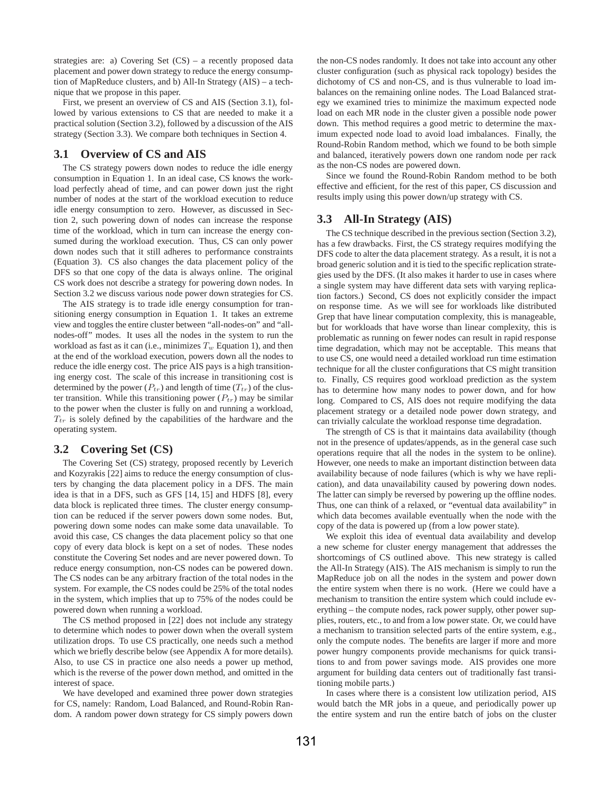strategies are: a) Covering Set (CS) – a recently proposed data placement and power down strategy to reduce the energy consumption of MapReduce clusters, and b) All-In Strategy (AIS) – a technique that we propose in this paper.

First, we present an overview of CS and AIS (Section 3.1), followed by various extensions to CS that are needed to make it a practical solution (Section 3.2), followed by a discussion of the AIS strategy (Section 3.3). We compare both techniques in Section 4.

## **3.1 Overview of CS and AIS**

The CS strategy powers down nodes to reduce the idle energy consumption in Equation 1. In an ideal case, CS knows the workload perfectly ahead of time, and can power down just the right number of nodes at the start of the workload execution to reduce idle energy consumption to zero. However, as discussed in Section 2, such powering down of nodes can increase the response time of the workload, which in turn can increase the energy consumed during the workload execution. Thus, CS can only power down nodes such that it still adheres to performance constraints (Equation 3). CS also changes the data placement policy of the DFS so that one copy of the data is always online. The original CS work does not describe a strategy for powering down nodes. In Section 3.2 we discuss various node power down strategies for CS.

The AIS strategy is to trade idle energy consumption for transitioning energy consumption in Equation 1. It takes an extreme view and toggles the entire cluster between "all-nodes-on" and "allnodes-off" modes. It uses all the nodes in the system to run the workload as fast as it can (i.e., minimizes  $T_w$  Equation 1), and then at the end of the workload execution, powers down all the nodes to reduce the idle energy cost. The price AIS pays is a high transitioning energy cost. The scale of this increase in transitioning cost is determined by the power  $(P_{tr})$  and length of time  $(T_{tr})$  of the cluster transition. While this transitioning power  $(P_{tr})$  may be similar to the power when the cluster is fully on and running a workload,  $T_{tr}$  is solely defined by the capabilities of the hardware and the operating system.

## **3.2 Covering Set (CS)**

The Covering Set (CS) strategy, proposed recently by Leverich and Kozyrakis [22] aims to reduce the energy consumption of clusters by changing the data placement policy in a DFS. The main idea is that in a DFS, such as GFS [14, 15] and HDFS [8], every data block is replicated three times. The cluster energy consumption can be reduced if the server powers down some nodes. But, powering down some nodes can make some data unavailable. To avoid this case, CS changes the data placement policy so that one copy of every data block is kept on a set of nodes. These nodes constitute the Covering Set nodes and are never powered down. To reduce energy consumption, non-CS nodes can be powered down. The CS nodes can be any arbitrary fraction of the total nodes in the system. For example, the CS nodes could be 25% of the total nodes in the system, which implies that up to 75% of the nodes could be powered down when running a workload.

The CS method proposed in [22] does not include any strategy to determine which nodes to power down when the overall system utilization drops. To use CS practically, one needs such a method which we briefly describe below (see Appendix A for more details). Also, to use CS in practice one also needs a power up method, which is the reverse of the power down method, and omitted in the interest of space.

We have developed and examined three power down strategies for CS, namely: Random, Load Balanced, and Round-Robin Random. A random power down strategy for CS simply powers down the non-CS nodes randomly. It does not take into account any other cluster configuration (such as physical rack topology) besides the dichotomy of CS and non-CS, and is thus vulnerable to load imbalances on the remaining online nodes. The Load Balanced strategy we examined tries to minimize the maximum expected node load on each MR node in the cluster given a possible node power down. This method requires a good metric to determine the maximum expected node load to avoid load imbalances. Finally, the Round-Robin Random method, which we found to be both simple and balanced, iteratively powers down one random node per rack as the non-CS nodes are powered down.

Since we found the Round-Robin Random method to be both effective and efficient, for the rest of this paper, CS discussion and results imply using this power down/up strategy with CS.

## **3.3 All-In Strategy (AIS)**

The CS technique described in the previous section (Section 3.2), has a few drawbacks. First, the CS strategy requires modifying the DFS code to alter the data placement strategy. As a result, it is not a broad generic solution and it is tied to the specific replication strategies used by the DFS. (It also makes it harder to use in cases where a single system may have different data sets with varying replication factors.) Second, CS does not explicitly consider the impact on response time. As we will see for workloads like distributed Grep that have linear computation complexity, this is manageable, but for workloads that have worse than linear complexity, this is problematic as running on fewer nodes can result in rapid response time degradation, which may not be acceptable. This means that to use CS, one would need a detailed workload run time estimation technique for all the cluster configurations that CS might transition to. Finally, CS requires good workload prediction as the system has to determine how many nodes to power down, and for how long. Compared to CS, AIS does not require modifying the data placement strategy or a detailed node power down strategy, and can trivially calculate the workload response time degradation.

The strength of CS is that it maintains data availability (though not in the presence of updates/appends, as in the general case such operations require that all the nodes in the system to be online). However, one needs to make an important distinction between data availability because of node failures (which is why we have replication), and data unavailability caused by powering down nodes. The latter can simply be reversed by powering up the offline nodes. Thus, one can think of a relaxed, or "eventual data availability" in which data becomes available eventually when the node with the copy of the data is powered up (from a low power state).

We exploit this idea of eventual data availability and develop a new scheme for cluster energy management that addresses the shortcomings of CS outlined above. This new strategy is called the All-In Strategy (AIS). The AIS mechanism is simply to run the MapReduce job on all the nodes in the system and power down the entire system when there is no work. (Here we could have a mechanism to transition the entire system which could include everything – the compute nodes, rack power supply, other power supplies, routers, etc., to and from a low power state. Or, we could have a mechanism to transition selected parts of the entire system, e.g., only the compute nodes. The benefits are larger if more and more power hungry components provide mechanisms for quick transitions to and from power savings mode. AIS provides one more argument for building data centers out of traditionally fast transitioning mobile parts.)

In cases where there is a consistent low utilization period, AIS would batch the MR jobs in a queue, and periodically power up the entire system and run the entire batch of jobs on the cluster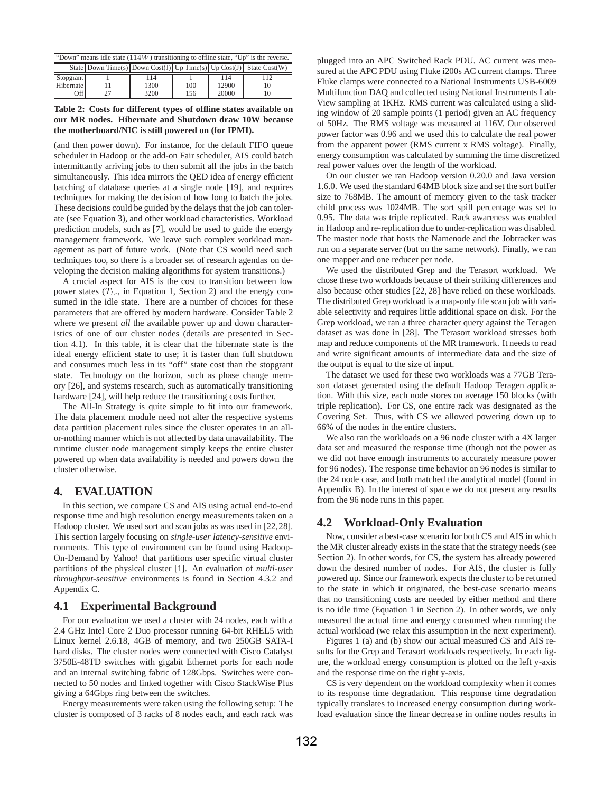| "Down" means idle state $(114W)$ transitioning to offline state, "Up" is the reverse. |                                                                     |      |     |       |    |  |  |  |
|---------------------------------------------------------------------------------------|---------------------------------------------------------------------|------|-----|-------|----|--|--|--|
|                                                                                       | State Down Time(s) Down Cost(J) Up Time(s) Up Cost(J) State Cost(W) |      |     |       |    |  |  |  |
| Stopgrant                                                                             |                                                                     | 114  |     | 114   | 12 |  |  |  |
| Hibernate                                                                             |                                                                     | 1300 | 100 | 12900 | 10 |  |  |  |
| Off                                                                                   |                                                                     | 3200 | 156 | 20000 | 10 |  |  |  |

#### **Table 2: Costs for different types of offline states available on our MR nodes. Hibernate and Shutdown draw 10W because the motherboard/NIC is still powered on (for IPMI).**

(and then power down). For instance, for the default FIFO queue scheduler in Hadoop or the add-on Fair scheduler, AIS could batch intermittantly arriving jobs to then submit all the jobs in the batch simultaneously. This idea mirrors the QED idea of energy efficient batching of database queries at a single node [19], and requires techniques for making the decision of how long to batch the jobs. These decisions could be guided by the delays that the job can tolerate (see Equation 3), and other workload characteristics. Workload prediction models, such as [7], would be used to guide the energy management framework. We leave such complex workload management as part of future work. (Note that CS would need such techniques too, so there is a broader set of research agendas on developing the decision making algorithms for system transitions.)

A crucial aspect for AIS is the cost to transition between low power states  $(T_{tr}$ , in Equation 1, Section 2) and the energy consumed in the idle state. There are a number of choices for these parameters that are offered by modern hardware. Consider Table 2 where we present *all* the available power up and down characteristics of one of our cluster nodes (details are presented in Section 4.1). In this table, it is clear that the hibernate state is the ideal energy efficient state to use; it is faster than full shutdown and consumes much less in its "off" state cost than the stopgrant state. Technology on the horizon, such as phase change memory [26], and systems research, such as automatically transitioning hardware [24], will help reduce the transitioning costs further.

The All-In Strategy is quite simple to fit into our framework. The data placement module need not alter the respective systems data partition placement rules since the cluster operates in an allor-nothing manner which is not affected by data unavailability. The runtime cluster node management simply keeps the entire cluster powered up when data availability is needed and powers down the cluster otherwise.

## **4. EVALUATION**

In this section, we compare CS and AIS using actual end-to-end response time and high resolution energy measurements taken on a Hadoop cluster. We used sort and scan jobs as was used in [22,28]. This section largely focusing on *single-user latency-sensitive* environments. This type of environment can be found using Hadoop-On-Demand by Yahoo! that partitions user specific virtual cluster partitions of the physical cluster [1]. An evaluation of *multi-user throughput-sensitive* environments is found in Section 4.3.2 and Appendix C.

## **4.1 Experimental Background**

For our evaluation we used a cluster with 24 nodes, each with a 2.4 GHz Intel Core 2 Duo processor running 64-bit RHEL5 with Linux kernel 2.6.18, 4GB of memory, and two 250GB SATA-I hard disks. The cluster nodes were connected with Cisco Catalyst 3750E-48TD switches with gigabit Ethernet ports for each node and an internal switching fabric of 128Gbps. Switches were connected to 50 nodes and linked together with Cisco StackWise Plus giving a 64Gbps ring between the switches.

Energy measurements were taken using the following setup: The cluster is composed of 3 racks of 8 nodes each, and each rack was

plugged into an APC Switched Rack PDU. AC current was measured at the APC PDU using Fluke i200s AC current clamps. Three Fluke clamps were connected to a National Instruments USB-6009 Multifunction DAQ and collected using National Instruments Lab-View sampling at 1KHz. RMS current was calculated using a sliding window of 20 sample points (1 period) given an AC frequency of 50Hz. The RMS voltage was measured at 116V. Our observed power factor was 0.96 and we used this to calculate the real power from the apparent power (RMS current x RMS voltage). Finally, energy consumption was calculated by summing the time discretized real power values over the length of the workload.

On our cluster we ran Hadoop version 0.20.0 and Java version 1.6.0. We used the standard 64MB block size and set the sort buffer size to 768MB. The amount of memory given to the task tracker child process was 1024MB. The sort spill percentage was set to 0.95. The data was triple replicated. Rack awareness was enabled in Hadoop and re-replication due to under-replication was disabled. The master node that hosts the Namenode and the Jobtracker was run on a separate server (but on the same network). Finally, we ran one mapper and one reducer per node.

We used the distributed Grep and the Terasort workload. We chose these two workloads because of their striking differences and also because other studies [22, 28] have relied on these workloads. The distributed Grep workload is a map-only file scan job with variable selectivity and requires little additional space on disk. For the Grep workload, we ran a three character query against the Teragen dataset as was done in [28]. The Terasort workload stresses both map and reduce components of the MR framework. It needs to read and write significant amounts of intermediate data and the size of the output is equal to the size of input.

The dataset we used for these two workloads was a 77GB Terasort dataset generated using the default Hadoop Teragen application. With this size, each node stores on average 150 blocks (with triple replication). For CS, one entire rack was designated as the Covering Set. Thus, with CS we allowed powering down up to 66% of the nodes in the entire clusters.

We also ran the workloads on a 96 node cluster with a 4X larger data set and measured the response time (though not the power as we did not have enough instruments to accurately measure power for 96 nodes). The response time behavior on 96 nodes is similar to the 24 node case, and both matched the analytical model (found in Appendix B). In the interest of space we do not present any results from the 96 node runs in this paper.

## **4.2 Workload-Only Evaluation**

Now, consider a best-case scenario for both CS and AIS in which the MR cluster already exists in the state that the strategy needs (see Section 2). In other words, for CS, the system has already powered down the desired number of nodes. For AIS, the cluster is fully powered up. Since our framework expects the cluster to be returned to the state in which it originated, the best-case scenario means that no transitioning costs are needed by either method and there is no idle time (Equation 1 in Section 2). In other words, we only measured the actual time and energy consumed when running the actual workload (we relax this assumption in the next experiment).

Figures 1 (a) and (b) show our actual measured CS and AIS results for the Grep and Terasort workloads respectively. In each figure, the workload energy consumption is plotted on the left y-axis and the response time on the right y-axis.

CS is very dependent on the workload complexity when it comes to its response time degradation. This response time degradation typically translates to increased energy consumption during workload evaluation since the linear decrease in online nodes results in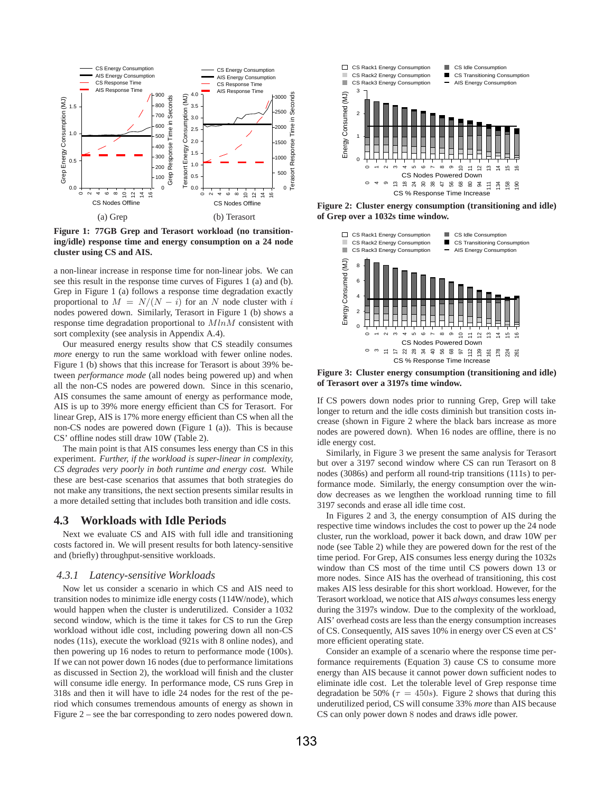

**Figure 1: 77GB Grep and Terasort workload (no transitioning/idle) response time and energy consumption on a 24 node cluster using CS and AIS.**

a non-linear increase in response time for non-linear jobs. We can see this result in the response time curves of Figures 1 (a) and (b). Grep in Figure 1 (a) follows a response time degradation exactly proportional to  $M = N/(N - i)$  for an N node cluster with i nodes powered down. Similarly, Terasort in Figure 1 (b) shows a response time degradation proportional to  $M ln M$  consistent with sort complexity (see analysis in Appendix A.4).

Our measured energy results show that CS steadily consumes *more* energy to run the same workload with fewer online nodes. Figure 1 (b) shows that this increase for Terasort is about 39% between *performance mode* (all nodes being powered up) and when all the non-CS nodes are powered down. Since in this scenario, AIS consumes the same amount of energy as performance mode, AIS is up to 39% more energy efficient than CS for Terasort. For linear Grep, AIS is 17% more energy efficient than CS when all the non-CS nodes are powered down (Figure 1 (a)). This is because CS' offline nodes still draw 10W (Table 2).

The main point is that AIS consumes less energy than CS in this experiment. *Further, if the workload is super-linear in complexity, CS degrades very poorly in both runtime and energy cost.* While these are best-case scenarios that assumes that both strategies do not make any transitions, the next section presents similar results in a more detailed setting that includes both transition and idle costs.

### **4.3 Workloads with Idle Periods**

Next we evaluate CS and AIS with full idle and transitioning costs factored in. We will present results for both latency-sensitive and (briefly) throughput-sensitive workloads.

#### *4.3.1 Latency-sensitive Workloads*

Now let us consider a scenario in which CS and AIS need to transition nodes to minimize idle energy costs (114W/node), which would happen when the cluster is underutilized. Consider a 1032 second window, which is the time it takes for CS to run the Grep workload without idle cost, including powering down all non-CS nodes (11s), execute the workload (921s with 8 online nodes), and then powering up 16 nodes to return to performance mode (100s). If we can not power down 16 nodes (due to performance limitations as discussed in Section 2), the workload will finish and the cluster will consume idle energy. In performance mode, CS runs Grep in 318s and then it will have to idle 24 nodes for the rest of the period which consumes tremendous amounts of energy as shown in Figure 2 – see the bar corresponding to zero nodes powered down.



**Figure 2: Cluster energy consumption (transitioning and idle) of Grep over a 1032s time window.**



**Figure 3: Cluster energy consumption (transitioning and idle) of Terasort over a 3197s time window.**

If CS powers down nodes prior to running Grep, Grep will take longer to return and the idle costs diminish but transition costs increase (shown in Figure 2 where the black bars increase as more nodes are powered down). When 16 nodes are offline, there is no idle energy cost.

Similarly, in Figure 3 we present the same analysis for Terasort but over a 3197 second window where CS can run Terasort on 8 nodes (3086s) and perform all round-trip transitions (111s) to performance mode. Similarly, the energy consumption over the window decreases as we lengthen the workload running time to fill 3197 seconds and erase all idle time cost.

In Figures 2 and 3, the energy consumption of AIS during the respective time windows includes the cost to power up the 24 node cluster, run the workload, power it back down, and draw 10W per node (see Table 2) while they are powered down for the rest of the time period. For Grep, AIS consumes less energy during the 1032s window than CS most of the time until CS powers down 13 or more nodes. Since AIS has the overhead of transitioning, this cost makes AIS less desirable for this short workload. However, for the Terasort workload, we notice that AIS *always* consumes less energy during the 3197s window. Due to the complexity of the workload, AIS' overhead costs are less than the energy consumption increases of CS. Consequently, AIS saves 10% in energy over CS even at CS' more efficient operating state.

Consider an example of a scenario where the response time performance requirements (Equation 3) cause CS to consume more energy than AIS because it cannot power down sufficient nodes to eliminate idle cost. Let the tolerable level of Grep response time degradation be 50% ( $\tau = 450s$ ). Figure 2 shows that during this underutilized period, CS will consume 33% *more* than AIS because CS can only power down 8 nodes and draws idle power.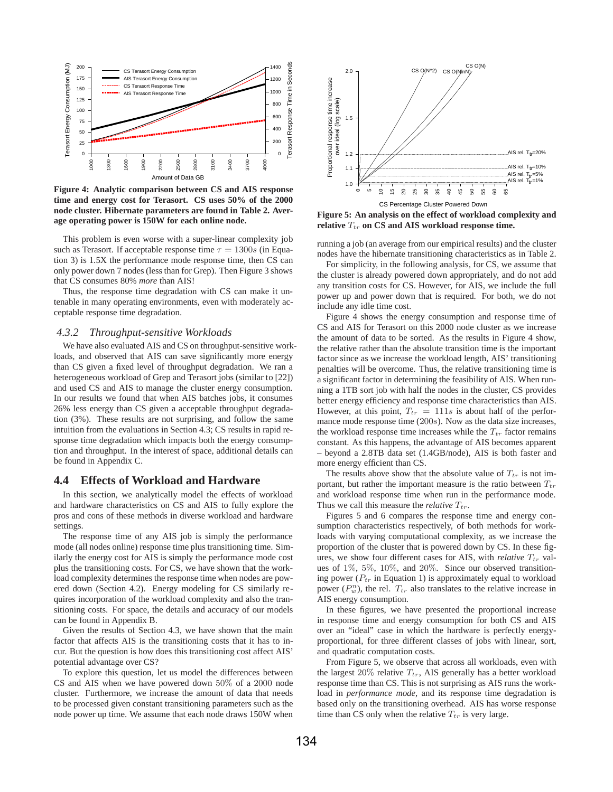

**Figure 4: Analytic comparison between CS and AIS response time and energy cost for Terasort. CS uses 50% of the 2000 node cluster. Hibernate parameters are found in Table 2. Average operating power is 150W for each online node.**

This problem is even worse with a super-linear complexity job such as Terasort. If acceptable response time  $\tau = 1300s$  (in Equation 3) is 1.5X the performance mode response time, then CS can only power down 7 nodes (less than for Grep). Then Figure 3 shows that CS consumes 80% *more* than AIS!

Thus, the response time degradation with CS can make it untenable in many operating environments, even with moderately acceptable response time degradation.

#### *4.3.2 Throughput-sensitive Workloads*

We have also evaluated AIS and CS on throughput-sensitive workloads, and observed that AIS can save significantly more energy than CS given a fixed level of throughput degradation. We ran a heterogeneous workload of Grep and Terasort jobs (similar to [22]) and used CS and AIS to manage the cluster energy consumption. In our results we found that when AIS batches jobs, it consumes 26% less energy than CS given a acceptable throughput degradation (3%). These results are not surprising, and follow the same intuition from the evaluations in Section 4.3; CS results in rapid response time degradation which impacts both the energy consumption and throughput. In the interest of space, additional details can be found in Appendix C.

#### **4.4 Effects of Workload and Hardware**

In this section, we analytically model the effects of workload and hardware characteristics on CS and AIS to fully explore the pros and cons of these methods in diverse workload and hardware settings.

The response time of any AIS job is simply the performance mode (all nodes online) response time plus transitioning time. Similarly the energy cost for AIS is simply the performance mode cost plus the transitioning costs. For CS, we have shown that the workload complexity determines the response time when nodes are powered down (Section 4.2). Energy modeling for CS similarly requires incorporation of the workload complexity and also the transitioning costs. For space, the details and accuracy of our models can be found in Appendix B.

Given the results of Section 4.3, we have shown that the main factor that affects AIS is the transitioning costs that it has to incur. But the question is how does this transitioning cost affect AIS' potential advantage over CS?

To explore this question, let us model the differences between CS and AIS when we have powered down 50% of a 2000 node cluster. Furthermore, we increase the amount of data that needs to be processed given constant transitioning parameters such as the node power up time. We assume that each node draws 150W when



**Figure 5: An analysis on the effect of workload complexity and** relative  $T_{tr}$  on CS and AIS workload response time.

running a job (an average from our empirical results) and the cluster nodes have the hibernate transitioning characteristics as in Table 2.

For simplicity, in the following analysis, for CS, we assume that the cluster is already powered down appropriately, and do not add any transition costs for CS. However, for AIS, we include the full power up and power down that is required. For both, we do not include any idle time cost.

Figure 4 shows the energy consumption and response time of CS and AIS for Terasort on this 2000 node cluster as we increase the amount of data to be sorted. As the results in Figure 4 show, the relative rather than the absolute transition time is the important factor since as we increase the workload length, AIS' transitioning penalties will be overcome. Thus, the relative transitioning time is a significant factor in determining the feasibility of AIS. When running a 1TB sort job with half the nodes in the cluster, CS provides better energy efficiency and response time characteristics than AIS. However, at this point,  $T_{tr} = 111s$  is about half of the performance mode response time (200s). Now as the data size increases, the workload response time increases while the  $T_{tr}$  factor remains constant. As this happens, the advantage of AIS becomes apparent – beyond a 2.8TB data set (1.4GB/node), AIS is both faster and more energy efficient than CS.

The results above show that the absolute value of  $T_{tr}$  is not important, but rather the important measure is the ratio between  $T_{tr}$ and workload response time when run in the performance mode. Thus we call this measure the *relative*  $T_{tr}$ .

Figures 5 and 6 compares the response time and energy consumption characteristics respectively, of both methods for workloads with varying computational complexity, as we increase the proportion of the cluster that is powered down by CS. In these figures, we show four different cases for AIS, with *relative*  $T_{tr}$  values of 1%, 5%, 10%, and 20%. Since our observed transitioning power ( $P_{tr}$  in Equation 1) is approximately equal to workload power  $(P_w^n)$ , the rel.  $T_{tr}$  also translates to the relative increase in AIS energy consumption.

In these figures, we have presented the proportional increase in response time and energy consumption for both CS and AIS over an "ideal" case in which the hardware is perfectly energyproportional, for three different classes of jobs with linear, sort, and quadratic computation costs.

From Figure 5, we observe that across all workloads, even with the largest  $20\%$  relative  $T_{tr}$ , AIS generally has a better workload response time than CS. This is not surprising as AIS runs the workload in *performance mode*, and its response time degradation is based only on the transitioning overhead. AIS has worse response time than CS only when the relative  $T_{tr}$  is very large.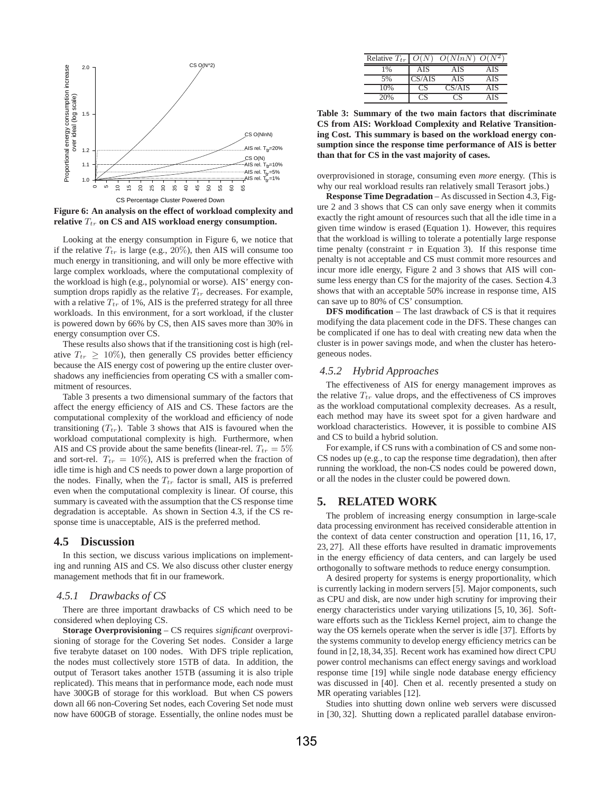

**Figure 6: An analysis on the effect of workload complexity and** relative  $T_{tr}$  on CS and AIS workload energy consumption.

Looking at the energy consumption in Figure 6, we notice that if the relative  $T_{tr}$  is large (e.g., 20%), then AIS will consume too much energy in transitioning, and will only be more effective with large complex workloads, where the computational complexity of the workload is high (e.g., polynomial or worse). AIS' energy consumption drops rapidly as the relative  $T_{tr}$  decreases. For example, with a relative  $T_{tr}$  of 1%, AIS is the preferred strategy for all three workloads. In this environment, for a sort workload, if the cluster is powered down by 66% by CS, then AIS saves more than 30% in energy consumption over CS.

These results also shows that if the transitioning cost is high (relative  $T_{tr} \geq 10\%$ ), then generally CS provides better efficiency because the AIS energy cost of powering up the entire cluster overshadows any inefficiencies from operating CS with a smaller commitment of resources.

Table 3 presents a two dimensional summary of the factors that affect the energy efficiency of AIS and CS. These factors are the computational complexity of the workload and efficiency of node transitioning  $(T_{tr})$ . Table 3 shows that AIS is favoured when the workload computational complexity is high. Furthermore, when AIS and CS provide about the same benefits (linear-rel.  $T_{tr} = 5\%$ and sort-rel.  $T_{tr} = 10\%$ ), AIS is preferred when the fraction of idle time is high and CS needs to power down a large proportion of the nodes. Finally, when the  $T_{tr}$  factor is small, AIS is preferred even when the computational complexity is linear. Of course, this summary is caveated with the assumption that the CS response time degradation is acceptable. As shown in Section 4.3, if the CS response time is unacceptable, AIS is the preferred method.

#### **4.5 Discussion**

In this section, we discuss various implications on implementing and running AIS and CS. We also discuss other cluster energy management methods that fit in our framework.

#### *4.5.1 Drawbacks of CS*

There are three important drawbacks of CS which need to be considered when deploying CS.

**Storage Overprovisioning** – CS requires *significant* overprovisioning of storage for the Covering Set nodes. Consider a large five terabyte dataset on 100 nodes. With DFS triple replication, the nodes must collectively store 15TB of data. In addition, the output of Terasort takes another 15TB (assuming it is also triple replicated). This means that in performance mode, each node must have 300GB of storage for this workload. But when CS powers down all 66 non-Covering Set nodes, each Covering Set node must now have 600GB of storage. Essentially, the online nodes must be

| Relative $T_{tr}$ O(N) |            | O(NlnN)    | $O(N^2)$ |
|------------------------|------------|------------|----------|
| $1\%$                  | <b>AIS</b> | AIS        | AIS      |
| 5%                     | CS/AIS     | <b>AIS</b> | AIS      |
| 10%                    | CS         | CS/AIS     | AIS      |
| 20%                    | CS         | CS         | AIS      |

**Table 3: Summary of the two main factors that discriminate CS from AIS: Workload Complexity and Relative Transitioning Cost. This summary is based on the workload energy consumption since the response time performance of AIS is better than that for CS in the vast majority of cases.**

overprovisioned in storage, consuming even *more* energy. (This is why our real workload results ran relatively small Terasort jobs.)

**Response Time Degradation** – As discussed in Section 4.3, Figure 2 and 3 shows that CS can only save energy when it commits exactly the right amount of resources such that all the idle time in a given time window is erased (Equation 1). However, this requires that the workload is willing to tolerate a potentially large response time penalty (constraint  $\tau$  in Equation 3). If this response time penalty is not acceptable and CS must commit more resources and incur more idle energy, Figure 2 and 3 shows that AIS will consume less energy than CS for the majority of the cases. Section 4.3 shows that with an acceptable 50% increase in response time, AIS can save up to 80% of CS' consumption.

**DFS modification** – The last drawback of CS is that it requires modifying the data placement code in the DFS. These changes can be complicated if one has to deal with creating new data when the cluster is in power savings mode, and when the cluster has heterogeneous nodes.

#### *4.5.2 Hybrid Approaches*

The effectiveness of AIS for energy management improves as the relative  $T_{tr}$  value drops, and the effectiveness of CS improves as the workload computational complexity decreases. As a result, each method may have its sweet spot for a given hardware and workload characteristics. However, it is possible to combine AIS and CS to build a hybrid solution.

For example, if CS runs with a combination of CS and some non-CS nodes up (e.g., to cap the response time degradation), then after running the workload, the non-CS nodes could be powered down, or all the nodes in the cluster could be powered down.

## **5. RELATED WORK**

The problem of increasing energy consumption in large-scale data processing environment has received considerable attention in the context of data center construction and operation [11, 16, 17, 23, 27]. All these efforts have resulted in dramatic improvements in the energy efficiency of data centers, and can largely be used orthogonally to software methods to reduce energy consumption.

A desired property for systems is energy proportionality, which is currently lacking in modern servers [5]. Major components, such as CPU and disk, are now under high scrutiny for improving their energy characteristics under varying utilizations [5, 10, 36]. Software efforts such as the Tickless Kernel project, aim to change the way the OS kernels operate when the server is idle [37]. Efforts by the systems community to develop energy efficiency metrics can be found in [2,18,34,35]. Recent work has examined how direct CPU power control mechanisms can effect energy savings and workload response time [19] while single node database energy efficiency was discussed in [40]. Chen et al. recently presented a study on MR operating variables [12].

Studies into shutting down online web servers were discussed in [30, 32]. Shutting down a replicated parallel database environ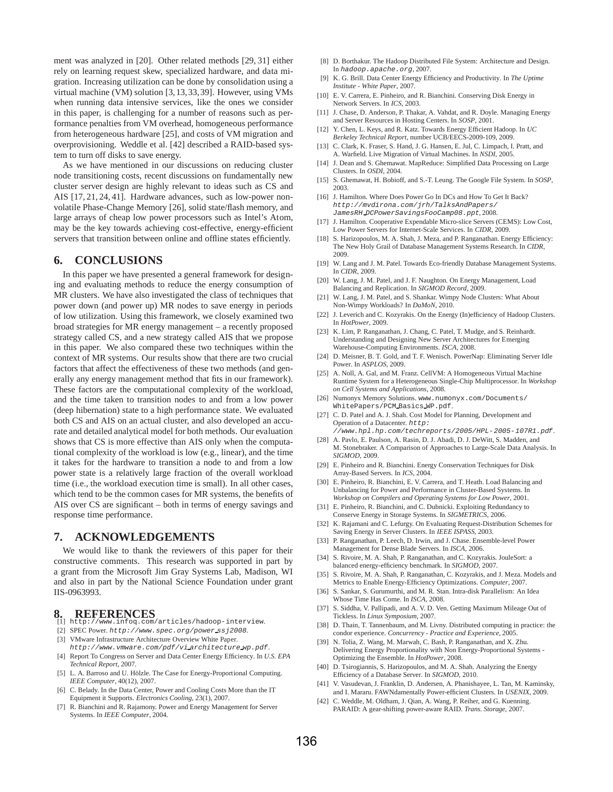ment was analyzed in [20]. Other related methods [29, 31] either rely on learning request skew, specialized hardware, and data migration. Increasing utilization can be done by consolidation using a virtual machine (VM) solution [3,13,33,39]. However, using VMs when running data intensive services, like the ones we consider in this paper, is challenging for a number of reasons such as performance penalties from VM overhead, homogeneous performance from heterogeneous hardware [25], and costs of VM migration and overprovisioning. Weddle et al. [42] described a RAID-based system to turn off disks to save energy.

As we have mentioned in our discussions on reducing cluster node transitioning costs, recent discussions on fundamentally new cluster server design are highly relevant to ideas such as CS and AIS [17, 21, 24, 41]. Hardware advances, such as low-power nonvolatile Phase-Change Memory [26], solid state/flash memory, and large arrays of cheap low power processors such as Intel's Atom, may be the key towards achieving cost-effective, energy-efficient servers that transition between online and offline states efficiently.

## **6. CONCLUSIONS**

In this paper we have presented a general framework for designing and evaluating methods to reduce the energy consumption of MR clusters. We have also investigated the class of techniques that power down (and power up) MR nodes to save energy in periods of low utilization. Using this framework, we closely examined two broad strategies for MR energy management – a recently proposed strategy called CS, and a new strategy called AIS that we propose in this paper. We also compared these two techniques within the context of MR systems. Our results show that there are two crucial factors that affect the effectiveness of these two methods (and generally any energy management method that fits in our framework). These factors are the computational complexity of the workload, and the time taken to transition nodes to and from a low power (deep hibernation) state to a high performance state. We evaluated both CS and AIS on an actual cluster, and also developed an accurate and detailed analytical model for both methods. Our evaluation shows that CS is more effective than AIS only when the computational complexity of the workload is low (e.g., linear), and the time it takes for the hardware to transition a node to and from a low power state is a relatively large fraction of the overall workload time (i.e., the workload execution time is small). In all other cases, which tend to be the common cases for MR systems, the benefits of AIS over CS are significant – both in terms of energy savings and response time performance.

## **7. ACKNOWLEDGEMENTS**

We would like to thank the reviewers of this paper for their constructive comments. This research was supported in part by a grant from the Microsoft Jim Gray Systems Lab, Madison, WI and also in part by the National Science Foundation under grant IIS-0963993.

- **8. REFERENCES** [1] http://www.infoq.com/articles/hadoop-interview.
- [2] SPEC Power. http://www.spec.org/power ssj2008.
- [3] VMware Infrastructure Architecture Overview White Paper.
- http://www.vmware.com/pdf/vi architecture wp.pdf. [4] Report To Congress on Server and Data Center Energy Efficiency. In *U.S. EPA Technical Report*, 2007.
- [5] L. A. Barroso and U. Hölzle. The Case for Energy-Proportional Computing. *IEEE Computer*, 40(12), 2007.
- [6] C. Belady. In the Data Center, Power and Cooling Costs More than the IT Equipment it Supports. *Electronics Cooling*, 23(1), 2007.
- [7] R. Bianchini and R. Rajamony. Power and Energy Management for Server Systems. In *IEEE Computer*, 2004.
- [8] D. Borthakur. The Hadoop Distributed File System: Architecture and Design. In hadoop.apache.org, 2007.
- [9] K. G. Brill. Data Center Energy Efficiency and Productivity. In *The Uptime Institute - White Paper*, 2007.
- [10] E. V. Carrera, E. Pinheiro, and R. Bianchini. Conserving Disk Energy in Network Servers. In *ICS*, 2003.
- [11] J. Chase, D. Anderson, P. Thakar, A. Vahdat, and R. Doyle. Managing Energy and Server Resources in Hosting Centers. In *SOSP*, 2001.
- [12] Y. Chen, L. Keys, and R. Katz. Towards Energy Efficient Hadoop. In *UC Berkeley Technical Report*, number UCB/EECS-2009-109, 2009.
- [13] C. Clark, K. Fraser, S. Hand, J. G. Hansen, E. Jul, C. Limpach, I. Pratt, and A. Warfield. Live Migration of Virtual Machines. In *NSDI*, 2005.
- [14] J. Dean and S. Ghemawat. MapReduce: Simplified Data Processing on Large Clusters. In *OSDI*, 2004.
- [15] S. Ghemawat, H. Bobioff, and S.-T. Leung. The Google File System. In *SOSP*, 2003.
- [16] J. Hamilton. Where Does Power Go In DCs and How To Get It Back? http://mvdirona.com/jrh/TalksAndPapers/ JamesRH DCPowerSavingsFooCamp08.ppt, 2008.
- [17] J. Hamilton. Cooperative Expendable Micro-slice Servers (CEMS): Low Cost, Low Power Servers for Internet-Scale Services. In *CIDR*, 2009.
- [18] S. Harizopoulos, M. A. Shah, J. Meza, and P. Ranganathan. Energy Efficiency: The New Holy Grail of Database Management Systems Research. In *CIDR*, 2009.
- [19] W. Lang and J. M. Patel. Towards Eco-friendly Database Management Systems. In *CIDR*, 2009.
- [20] W. Lang, J. M. Patel, and J. F. Naughton. On Energy Management, Load Balancing and Replication. In *SIGMOD Record*, 2009.
- [21] W. Lang, J. M. Patel, and S. Shankar. Wimpy Node Clusters: What About Non-Wimpy Workloads? In *DaMoN*, 2010.
- [22] J. Leverich and C. Kozyrakis. On the Energy (In)efficiency of Hadoop Clusters. In *HotPower*, 2009.
- [23] K. Lim, P. Ranganathan, J. Chang, C. Patel, T. Mudge, and S. Reinhardt. Understanding and Designing New Server Architectures for Emerging Warehouse-Computing Environments. *ISCA*, 2008.
- [24] D. Meisner, B. T. Gold, and T. F. Wenisch. PowerNap: Eliminating Server Idle Power. In *ASPLOS*, 2009.
- [25] A. Noll, A. Gal, and M. Franz. CellVM: A Homogeneous Virtual Machine Runtime System for a Heterogeneous Single-Chip Multiprocessor. In *Workshop on Cell Systems and Applications*, 2008.
- [26] Numonyx Memory Solutions. www.numonyx.com/Documents/ WhitePapers/PCM Basics WP.pdf.
- [27] C. D. Patel and A. J. Shah. Cost Model for Planning, Development and Operation of a Datacenter.  $http:$ //www.hpl.hp.com/techreports/2005/HPL-2005-107R1.pdf.
- [28] A. Pavlo, E. Paulson, A. Rasin, D. J. Abadi, D. J. DeWitt, S. Madden, and M. Stonebraker. A Comparison of Approaches to Large-Scale Data Analysis. In *SIGMOD*, 2009.
- [29] E. Pinheiro and R. Bianchini. Energy Conservation Techniques for Disk Array-Based Servers. In *ICS*, 2004.
- [30] E. Pinheiro, R. Bianchini, E. V. Carrera, and T. Heath. Load Balancing and Unbalancing for Power and Performance in Cluster-Based Systems. In *Workshop on Compilers and Operating Systems for Low Power*, 2001.
- [31] E. Pinheiro, R. Bianchini, and C. Dubnicki. Exploiting Redundancy to Conserve Energy in Storage Systems. In *SIGMETRICS*, 2006.
- [32] K. Rajamani and C. Lefurgy. On Evaluating Request-Distribution Schemes for Saving Energy in Server Clusters. In *IEEE ISPASS*, 2003.
- [33] P. Ranganathan, P. Leech, D. Irwin, and J. Chase. Ensemble-level Power Management for Dense Blade Servers. In *ISCA*, 2006.
- [34] S. Rivoire, M. A. Shah, P. Ranganathan, and C. Kozyrakis. JouleSort: a balanced energy-efficiency benchmark. In *SIGMOD*, 2007.
- [35] S. Rivoire, M. A. Shah, P. Ranganathan, C. Kozyrakis, and J. Meza. Models and Metrics to Enable Energy-Efficiency Optimizations. *Computer*, 2007.
- [36] S. Sankar, S. Gurumurthi, and M. R. Stan. Intra-disk Parallelism: An Idea Whose Time Has Come. In *ISCA*, 2008.
- [37] S. Siddha, V. Pallipadi, and A. V. D. Ven. Getting Maximum Mileage Out of Tickless. In *Linux Symposium*, 2007.
- [38] D. Thain, T. Tannenbaum, and M. Livny. Distributed computing in practice: the condor experience. *Concurrency - Practice and Experience*, 2005.
- [39] N. Tolia, Z. Wang, M. Marwah, C. Bash, P. Ranganathan, and X. Zhu. Delivering Energy Proportionality with Non Energy-Proportional Systems - Optimizing the Ensemble. In *HotPower*, 2008.
- [40] D. Tsirogiannis, S. Harizopoulos, and M. A. Shah. Analyzing the Energy Efficiency of a Database Server. In *SIGMOD*, 2010.
- [41] V. Vasudevan, J. Franklin, D. Andersen, A. Phanishayee, L. Tan, M. Kaminsky, and I. Mararu. FAWNdamentally Power-efficient Clusters. In *USENIX*, 2009.
- [42] C. Weddle, M. Oldham, J. Qian, A. Wang, P. Reiher, and G. Kuenning. PARAID: A gear-shifting power-aware RAID. *Trans. Storage*, 2007.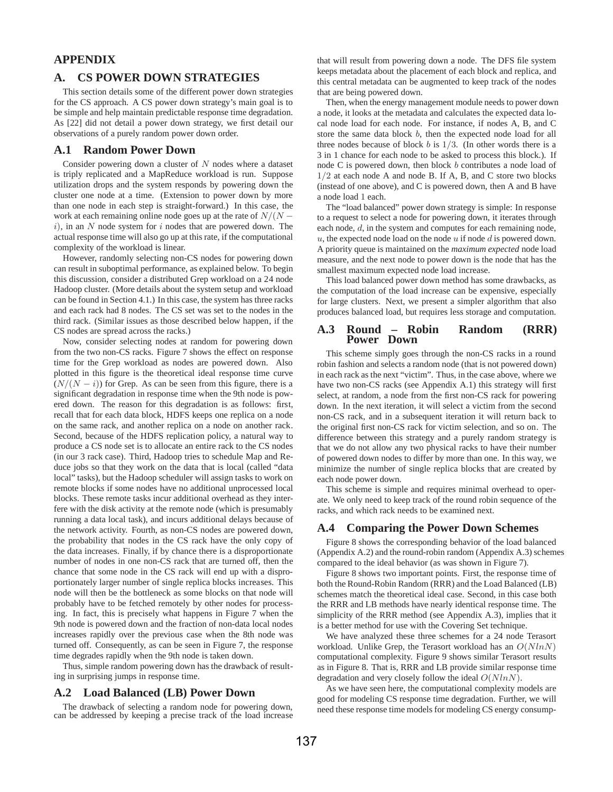## **APPENDIX**

## **A. CS POWER DOWN STRATEGIES**

This section details some of the different power down strategies for the CS approach. A CS power down strategy's main goal is to be simple and help maintain predictable response time degradation. As [22] did not detail a power down strategy, we first detail our observations of a purely random power down order.

### **A.1 Random Power Down**

Consider powering down a cluster of  $N$  nodes where a dataset is triply replicated and a MapReduce workload is run. Suppose utilization drops and the system responds by powering down the cluster one node at a time. (Extension to power down by more than one node in each step is straight-forward.) In this case, the work at each remaining online node goes up at the rate of  $N/(N$  $i$ ), in an N node system for  $i$  nodes that are powered down. The actual response time will also go up at this rate, if the computational complexity of the workload is linear.

However, randomly selecting non-CS nodes for powering down can result in suboptimal performance, as explained below. To begin this discussion, consider a distributed Grep workload on a 24 node Hadoop cluster. (More details about the system setup and workload can be found in Section 4.1.) In this case, the system has three racks and each rack had 8 nodes. The CS set was set to the nodes in the third rack. (Similar issues as those described below happen, if the CS nodes are spread across the racks.)

Now, consider selecting nodes at random for powering down from the two non-CS racks. Figure 7 shows the effect on response time for the Grep workload as nodes are powered down. Also plotted in this figure is the theoretical ideal response time curve  $(N/(N - i))$  for Grep. As can be seen from this figure, there is a significant degradation in response time when the 9th node is powered down. The reason for this degradation is as follows: first, recall that for each data block, HDFS keeps one replica on a node on the same rack, and another replica on a node on another rack. Second, because of the HDFS replication policy, a natural way to produce a CS node set is to allocate an entire rack to the CS nodes (in our 3 rack case). Third, Hadoop tries to schedule Map and Reduce jobs so that they work on the data that is local (called "data local" tasks), but the Hadoop scheduler will assign tasks to work on remote blocks if some nodes have no additional unprocessed local blocks. These remote tasks incur additional overhead as they interfere with the disk activity at the remote node (which is presumably running a data local task), and incurs additional delays because of the network activity. Fourth, as non-CS nodes are powered down, the probability that nodes in the CS rack have the only copy of the data increases. Finally, if by chance there is a disproportionate number of nodes in one non-CS rack that are turned off, then the chance that some node in the CS rack will end up with a disproportionately larger number of single replica blocks increases. This node will then be the bottleneck as some blocks on that node will probably have to be fetched remotely by other nodes for processing. In fact, this is precisely what happens in Figure 7 when the 9th node is powered down and the fraction of non-data local nodes increases rapidly over the previous case when the 8th node was turned off. Consequently, as can be seen in Figure 7, the response time degrades rapidly when the 9th node is taken down.

Thus, simple random powering down has the drawback of resulting in surprising jumps in response time.

## **A.2 Load Balanced (LB) Power Down**

The drawback of selecting a random node for powering down, can be addressed by keeping a precise track of the load increase that will result from powering down a node. The DFS file system keeps metadata about the placement of each block and replica, and this central metadata can be augmented to keep track of the nodes that are being powered down.

Then, when the energy management module needs to power down a node, it looks at the metadata and calculates the expected data local node load for each node. For instance, if nodes A, B, and C store the same data block b, then the expected node load for all three nodes because of block b is  $1/3$ . (In other words there is a 3 in 1 chance for each node to be asked to process this block.). If node C is powered down, then block b contributes a node load of 1/2 at each node A and node B. If A, B, and C store two blocks (instead of one above), and C is powered down, then A and B have a node load 1 each.

The "load balanced" power down strategy is simple: In response to a request to select a node for powering down, it iterates through each node, d, in the system and computes for each remaining node,  $u$ , the expected node load on the node  $u$  if node  $d$  is powered down. A priority queue is maintained on the *maximum expected* node load measure, and the next node to power down is the node that has the smallest maximum expected node load increase.

This load balanced power down method has some drawbacks, as the computation of the load increase can be expensive, especially for large clusters. Next, we present a simpler algorithm that also produces balanced load, but requires less storage and computation.

#### **A.3 Round – Robin Random (RRR) Power Down**

This scheme simply goes through the non-CS racks in a round robin fashion and selects a random node (that is not powered down) in each rack as the next "victim". Thus, in the case above, where we have two non-CS racks (see Appendix A.1) this strategy will first select, at random, a node from the first non-CS rack for powering down. In the next iteration, it will select a victim from the second non-CS rack, and in a subsequent iteration it will return back to the original first non-CS rack for victim selection, and so on. The difference between this strategy and a purely random strategy is that we do not allow any two physical racks to have their number of powered down nodes to differ by more than one. In this way, we minimize the number of single replica blocks that are created by each node power down.

This scheme is simple and requires minimal overhead to operate. We only need to keep track of the round robin sequence of the racks, and which rack needs to be examined next.

#### **A.4 Comparing the Power Down Schemes**

Figure 8 shows the corresponding behavior of the load balanced (Appendix A.2) and the round-robin random (Appendix A.3) schemes compared to the ideal behavior (as was shown in Figure 7).

Figure 8 shows two important points. First, the response time of both the Round-Robin Random (RRR) and the Load Balanced (LB) schemes match the theoretical ideal case. Second, in this case both the RRR and LB methods have nearly identical response time. The simplicity of the RRR method (see Appendix A.3), implies that it is a better method for use with the Covering Set technique.

We have analyzed these three schemes for a 24 node Terasort workload. Unlike Grep, the Terasort workload has an  $O(N \ln N)$ computational complexity. Figure 9 shows similar Terasort results as in Figure 8. That is, RRR and LB provide similar response time degradation and very closely follow the ideal  $O(N \ln N)$ .

As we have seen here, the computational complexity models are good for modeling CS response time degradation. Further, we will need these response time models for modeling CS energy consump-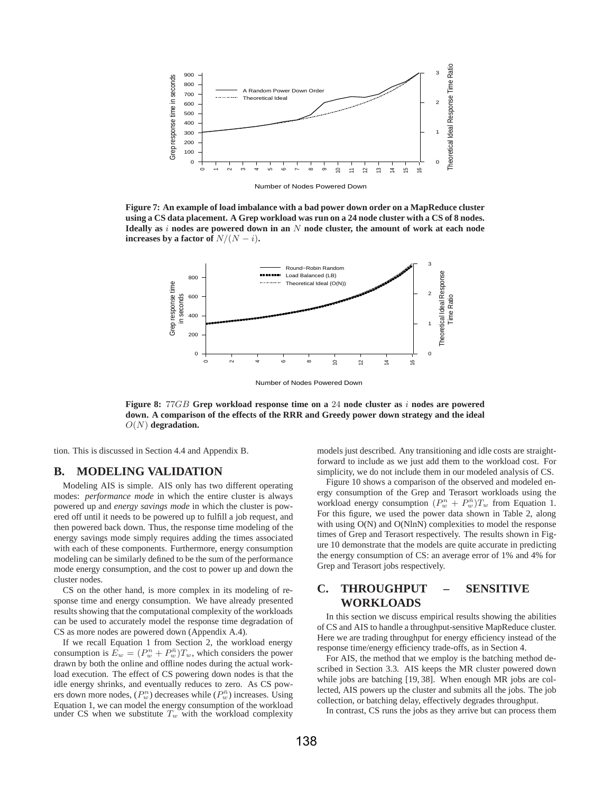

**Figure 7: An example of load imbalance with a bad power down order on a MapReduce cluster using a CS data placement. A Grep workload was run on a 24 node cluster with a CS of 8 nodes. Ideally as** i **nodes are powered down in an** N **node cluster, the amount of work at each node increases by a factor of**  $N/(N - i)$ **.** 



Number of Nodes Powered Down

**Figure 8:** 77GB **Grep workload response time on a** 24 **node cluster as** i **nodes are powered down. A comparison of the effects of the RRR and Greedy power down strategy and the ideal** O(N) **degradation.**

tion. This is discussed in Section 4.4 and Appendix B.

## **B. MODELING VALIDATION**

Modeling AIS is simple. AIS only has two different operating modes: *performance mode* in which the entire cluster is always powered up and *energy savings mode* in which the cluster is powered off until it needs to be powered up to fulfill a job request, and then powered back down. Thus, the response time modeling of the energy savings mode simply requires adding the times associated with each of these components. Furthermore, energy consumption modeling can be similarly defined to be the sum of the performance mode energy consumption, and the cost to power up and down the cluster nodes.

CS on the other hand, is more complex in its modeling of response time and energy consumption. We have already presented results showing that the computational complexity of the workloads can be used to accurately model the response time degradation of CS as more nodes are powered down (Appendix A.4).

If we recall Equation 1 from Section 2, the workload energy consumption is  $\mathbf{E}_w = (P_w^n + P_w^{\bar{n}})T_w$ , which considers the power drawn by both the online and offline nodes during the actual workload execution. The effect of CS powering down nodes is that the idle energy shrinks, and eventually reduces to zero. As CS powers down more nodes,  $(P_w^n)$  decreases while  $(P_w^{\bar{n}})$  increases. Using Equation 1, we can model the energy consumption of the workload under CS when we substitute  $T_w$  with the workload complexity

models just described. Any transitioning and idle costs are straightforward to include as we just add them to the workload cost. For simplicity, we do not include them in our modeled analysis of CS.

Figure 10 shows a comparison of the observed and modeled energy consumption of the Grep and Terasort workloads using the workload energy consumption  $(P_w^n + P_w^{\bar{n}})T_w$  from Equation 1. For this figure, we used the power data shown in Table 2, along with using  $O(N)$  and  $O(N \ln N)$  complexities to model the response times of Grep and Terasort respectively. The results shown in Figure 10 demonstrate that the models are quite accurate in predicting the energy consumption of CS: an average error of 1% and 4% for Grep and Terasort jobs respectively.

## **C. THROUGHPUT – SENSITIVE WORKLOADS**

In this section we discuss empirical results showing the abilities of CS and AIS to handle a throughput-sensitive MapReduce cluster. Here we are trading throughput for energy efficiency instead of the response time/energy efficiency trade-offs, as in Section 4.

For AIS, the method that we employ is the batching method described in Section 3.3. AIS keeps the MR cluster powered down while jobs are batching [19, 38]. When enough MR jobs are collected, AIS powers up the cluster and submits all the jobs. The job collection, or batching delay, effectively degrades throughput.

In contrast, CS runs the jobs as they arrive but can process them